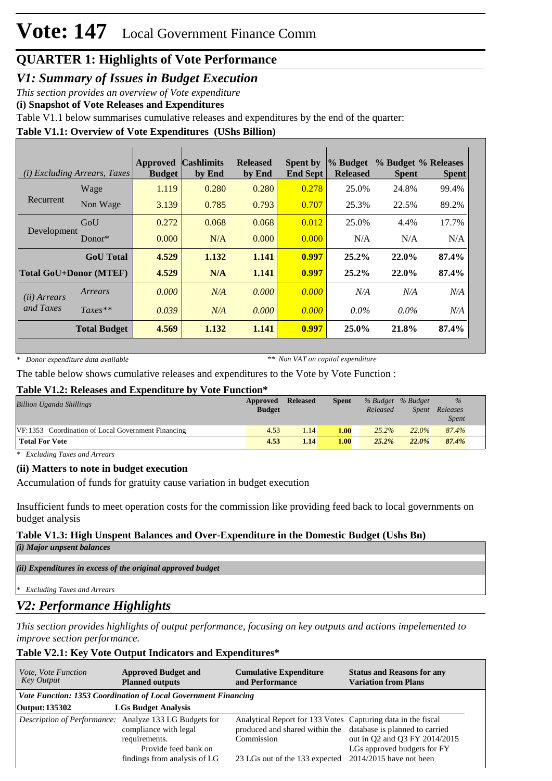# **QUARTER 1: Highlights of Vote Performance**

*V1: Summary of Issues in Budget Execution*

*This section provides an overview of Vote expenditure* 

**(i) Snapshot of Vote Releases and Expenditures**

Table V1.1 below summarises cumulative releases and expenditures by the end of the quarter:

### **Table V1.1: Overview of Vote Expenditures (UShs Billion)**

| <i>(i)</i> Excluding Arrears, Taxes |                               | <b>Approved</b><br><b>Budget</b> | <b>Cashlimits</b><br>by End | <b>Released</b><br>by End | <b>Spent by</b><br><b>End Sept</b> | % Budget<br><b>Released</b> | % Budget % Releases<br><b>Spent</b> | <b>Spent</b> |
|-------------------------------------|-------------------------------|----------------------------------|-----------------------------|---------------------------|------------------------------------|-----------------------------|-------------------------------------|--------------|
|                                     | Wage                          | 1.119                            | 0.280                       | 0.280                     | 0.278                              | 25.0%                       | 24.8%                               | 99.4%        |
| Recurrent                           | Non Wage                      | 3.139                            | 0.785                       | 0.793                     | 0.707                              | 25.3%                       | 22.5%                               | 89.2%        |
|                                     | GoU                           | 0.272                            | 0.068                       | 0.068                     | 0.012                              | 25.0%                       | 4.4%                                | 17.7%        |
| Development                         | Donor $*$                     | 0.000                            | N/A                         | 0.000                     | 0.000                              | N/A                         | N/A                                 | N/A          |
|                                     | <b>GoU</b> Total              | 4.529                            | 1.132                       | 1.141                     | 0.997                              | $25.2\%$                    | 22.0%                               | 87.4%        |
|                                     | <b>Total GoU+Donor (MTEF)</b> | 4.529                            | N/A                         | 1.141                     | 0.997                              | $25.2\%$                    | $22.0\%$                            | 87.4%        |
| (ii) Arrears                        | Arrears                       | 0.000                            | N/A                         | 0.000                     | 0.000                              | N/A                         | N/A                                 | N/A          |
| and Taxes                           | $Taxes**$                     | 0.039                            | N/A                         | 0.000                     | 0.000                              | $0.0\%$                     | $0.0\%$                             | N/A          |
|                                     | <b>Total Budget</b>           | 4.569                            | 1.132                       | 1.141                     | 0.997                              | 25.0%                       | 21.8%                               | 87.4%        |

*\* Donor expenditure data available*

*\*\* Non VAT on capital expenditure*

The table below shows cumulative releases and expenditures to the Vote by Vote Function :

### **Table V1.2: Releases and Expenditure by Vote Function\***

| <b>Billion Uganda Shillings</b>                    | Approved<br><b>Budget</b> | <b>Released</b> | <b>Spent</b> | % Budget % Budget<br>Released | Spent | $\frac{9}{6}$<br>Releases<br><i>Spent</i> |
|----------------------------------------------------|---------------------------|-----------------|--------------|-------------------------------|-------|-------------------------------------------|
| VF:1353 Coordination of Local Government Financing | 4.53                      | 1.14            | 1.00         | 25.2%                         | 22.0% | 87.4%                                     |
| <b>Total For Vote</b>                              | 4.53                      | 1.14            | 1.00         | $25.2\%$                      | 22.0% | 87.4%                                     |

*\* Excluding Taxes and Arrears*

### **(ii) Matters to note in budget execution**

Accumulation of funds for gratuity cause variation in budget execution

Insufficient funds to meet operation costs for the commission like providing feed back to local governments on budget analysis

## **Table V1.3: High Unspent Balances and Over-Expenditure in the Domestic Budget (Ushs Bn)**

*(i) Major unpsent balances*

*(ii) Expenditures in excess of the original approved budget*

*\* Excluding Taxes and Arrears*

## *V2: Performance Highlights*

*This section provides highlights of output performance, focusing on key outputs and actions impelemented to improve section performance.*

### **Table V2.1: Key Vote Output Indicators and Expenditures\***

| Vote, Vote Function<br>Key Output | <b>Approved Budget and</b><br><b>Planned outputs</b>                                                                                                     | <b>Cumulative Expenditure</b><br>and Performance                                                                                                                                                      | <b>Status and Reasons for any</b><br><b>Variation from Plans</b> |
|-----------------------------------|----------------------------------------------------------------------------------------------------------------------------------------------------------|-------------------------------------------------------------------------------------------------------------------------------------------------------------------------------------------------------|------------------------------------------------------------------|
|                                   | Vote Function: 1353 Coordination of Local Government Financing                                                                                           |                                                                                                                                                                                                       |                                                                  |
| Output: 135302                    | <b>LGs Budget Analysis</b>                                                                                                                               |                                                                                                                                                                                                       |                                                                  |
|                                   | Description of Performance: Analyze 133 LG Budgets for<br>compliance with legal<br>requirements.<br>Provide feed bank on<br>findings from analysis of LG | Analytical Report for 133 Votes Capturing data in the fiscal<br>produced and shared within the database is planned to carried<br>Commission<br>23 LGs out of the 133 expected 2014/2015 have not been | out in Q2 and Q3 FY 2014/2015<br>LGs approved budgets for FY     |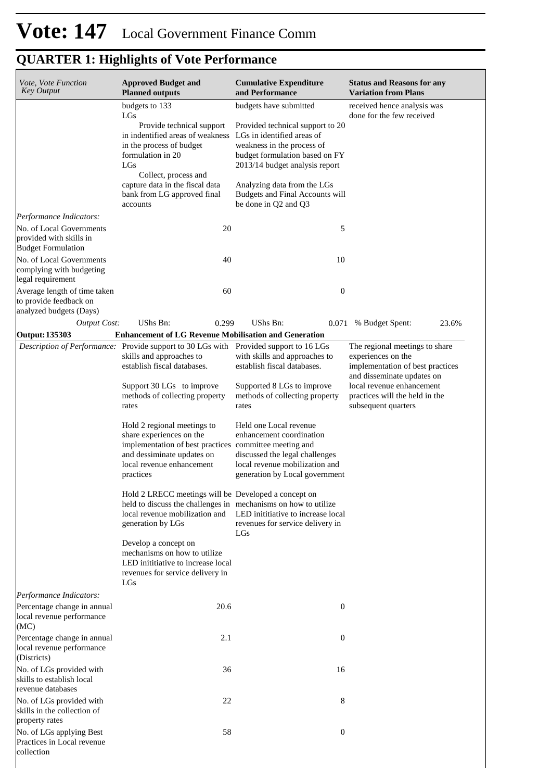# **QUARTER 1: Highlights of Vote Performance**

| Vote, Vote Function<br><b>Key Output</b>                                          | <b>Approved Budget and</b><br><b>Planned outputs</b>                                                                                                                                      | <b>Cumulative Expenditure</b><br>and Performance                                                                                                                 | <b>Status and Reasons for any</b><br><b>Variation from Plans</b>                                                       |
|-----------------------------------------------------------------------------------|-------------------------------------------------------------------------------------------------------------------------------------------------------------------------------------------|------------------------------------------------------------------------------------------------------------------------------------------------------------------|------------------------------------------------------------------------------------------------------------------------|
|                                                                                   | budgets to 133<br>LGs                                                                                                                                                                     | budgets have submitted                                                                                                                                           | received hence analysis was<br>done for the few received                                                               |
|                                                                                   | Provide technical support<br>in indentified areas of weakness<br>in the process of budget<br>formulation in 20<br>LGs                                                                     | Provided technical support to 20<br>LGs in identified areas of<br>weakness in the process of<br>budget formulation based on FY<br>2013/14 budget analysis report |                                                                                                                        |
|                                                                                   | Collect, process and<br>capture data in the fiscal data<br>bank from LG approved final<br>accounts                                                                                        | Analyzing data from the LGs<br>Budgets and Final Accounts will<br>be done in Q2 and Q3                                                                           |                                                                                                                        |
| Performance Indicators:                                                           |                                                                                                                                                                                           |                                                                                                                                                                  |                                                                                                                        |
| No. of Local Governments<br>provided with skills in<br><b>Budget Formulation</b>  | 20                                                                                                                                                                                        | 5                                                                                                                                                                |                                                                                                                        |
| No. of Local Governments<br>complying with budgeting<br>legal requirement         | 40                                                                                                                                                                                        | 10                                                                                                                                                               |                                                                                                                        |
| Average length of time taken<br>to provide feedback on<br>analyzed budgets (Days) | 60                                                                                                                                                                                        | $\boldsymbol{0}$                                                                                                                                                 |                                                                                                                        |
| <b>Output Cost:</b>                                                               | UShs Bn:<br>0.299                                                                                                                                                                         | UShs Bn:<br>0.071                                                                                                                                                | 23.6%<br>% Budget Spent:                                                                                               |
| Output: 135303                                                                    | <b>Enhancement of LG Revenue Mobilisation and Generation</b>                                                                                                                              |                                                                                                                                                                  |                                                                                                                        |
|                                                                                   | <i>Description of Performance:</i> Provide support to 30 LGs with Provided support to 16 LGs<br>skills and approaches to<br>establish fiscal databases.                                   | with skills and approaches to<br>establish fiscal databases.                                                                                                     | The regional meetings to share<br>experiences on the<br>implementation of best practices<br>and disseminate updates on |
|                                                                                   | Support 30 LGs to improve<br>methods of collecting property<br>rates                                                                                                                      | Supported 8 LGs to improve<br>methods of collecting property<br>rates                                                                                            | local revenue enhancement<br>practices will the held in the<br>subsequent quarters                                     |
|                                                                                   | Hold 2 regional meetings to<br>share experiences on the<br>implementation of best practices committee meeting and<br>and dessiminate updates on<br>local revenue enhancement<br>practices | Held one Local revenue<br>enhancement coordination<br>discussed the legal challenges<br>local revenue mobilization and<br>generation by Local government         |                                                                                                                        |
|                                                                                   | Hold 2 LRECC meetings will be Developed a concept on<br>held to discuss the challenges in mechanisms on how to utilize<br>generation by LGs                                               | local revenue mobilization and LED initiative to increase local<br>revenues for service delivery in<br>LGs                                                       |                                                                                                                        |
|                                                                                   | Develop a concept on<br>mechanisms on how to utilize<br>LED inititiative to increase local<br>revenues for service delivery in<br>LGs                                                     |                                                                                                                                                                  |                                                                                                                        |
| Performance Indicators:                                                           |                                                                                                                                                                                           |                                                                                                                                                                  |                                                                                                                        |
| Percentage change in annual<br>local revenue performance<br>(MC)                  | 20.6                                                                                                                                                                                      | $\boldsymbol{0}$                                                                                                                                                 |                                                                                                                        |
| Percentage change in annual<br>local revenue performance<br>(Districts)           | 2.1                                                                                                                                                                                       | $\boldsymbol{0}$                                                                                                                                                 |                                                                                                                        |
| No. of LGs provided with<br>skills to establish local<br>revenue databases        | 36                                                                                                                                                                                        | 16                                                                                                                                                               |                                                                                                                        |
| No. of LGs provided with<br>skills in the collection of<br>property rates         | 22                                                                                                                                                                                        | 8                                                                                                                                                                |                                                                                                                        |
| No. of LGs applying Best<br>Practices in Local revenue<br>collection              | 58                                                                                                                                                                                        | $\boldsymbol{0}$                                                                                                                                                 |                                                                                                                        |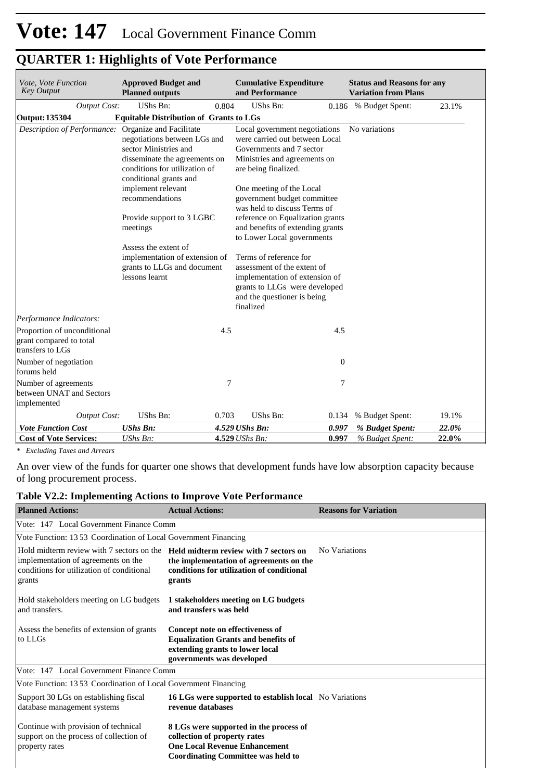| Vote, Vote Function<br><b>Key Output</b>                                   | <b>Approved Budget and</b><br><b>Planned outputs</b>                                                                                                                         |       | <b>Cumulative Expenditure</b><br>and Performance                                                                                                                     |       | <b>Status and Reasons for any</b><br><b>Variation from Plans</b> |       |
|----------------------------------------------------------------------------|------------------------------------------------------------------------------------------------------------------------------------------------------------------------------|-------|----------------------------------------------------------------------------------------------------------------------------------------------------------------------|-------|------------------------------------------------------------------|-------|
| <b>Output Cost:</b>                                                        | UShs Bn:                                                                                                                                                                     | 0.804 | UShs Bn:                                                                                                                                                             |       | 0.186 % Budget Spent:                                            | 23.1% |
| Output: 135304                                                             | <b>Equitable Distribution of Grants to LGs</b>                                                                                                                               |       |                                                                                                                                                                      |       |                                                                  |       |
| Description of Performance:                                                | Organize and Facilitate<br>negotiations between LGs and<br>sector Ministries and<br>disseminate the agreements on<br>conditions for utilization of<br>conditional grants and |       | Local government negotiations<br>were carried out between Local<br>Governments and 7 sector<br>Ministries and agreements on<br>are being finalized.                  |       | No variations                                                    |       |
|                                                                            | implement relevant<br>recommendations                                                                                                                                        |       | One meeting of the Local<br>government budget committee<br>was held to discuss Terms of                                                                              |       |                                                                  |       |
|                                                                            | Provide support to 3 LGBC<br>meetings                                                                                                                                        |       | reference on Equalization grants<br>and benefits of extending grants<br>to Lower Local governments                                                                   |       |                                                                  |       |
|                                                                            | Assess the extent of<br>implementation of extension of<br>grants to LLGs and document<br>lessons learnt                                                                      |       | Terms of reference for<br>assessment of the extent of<br>implementation of extension of<br>grants to LLGs were developed<br>and the questioner is being<br>finalized |       |                                                                  |       |
| Performance Indicators:                                                    |                                                                                                                                                                              |       |                                                                                                                                                                      |       |                                                                  |       |
| Proportion of unconditional<br>grant compared to total<br>transfers to LGs |                                                                                                                                                                              | 4.5   |                                                                                                                                                                      | 4.5   |                                                                  |       |
| Number of negotiation<br>forums held                                       |                                                                                                                                                                              |       |                                                                                                                                                                      | 0     |                                                                  |       |
| Number of agreements<br>between UNAT and Sectors                           |                                                                                                                                                                              | 7     |                                                                                                                                                                      | 7     |                                                                  |       |
| implemented                                                                |                                                                                                                                                                              |       |                                                                                                                                                                      |       |                                                                  |       |
| <b>Output Cost:</b>                                                        | UShs Bn:                                                                                                                                                                     | 0.703 | UShs Bn:                                                                                                                                                             | 0.134 | % Budget Spent:                                                  | 19.1% |
| <b>Vote Function Cost</b>                                                  | <b>UShs Bn:</b>                                                                                                                                                              |       | 4.529 UShs Bn:                                                                                                                                                       | 0.997 | % Budget Spent:                                                  | 22.0% |
| <b>Cost of Vote Services:</b>                                              | UShs Bn:                                                                                                                                                                     |       | $4.529$ UShs Bn:                                                                                                                                                     | 0.997 | % Budget Spent:                                                  | 22.0% |

# **QUARTER 1: Highlights of Vote Performance**

*\* Excluding Taxes and Arrears*

An over view of the funds for quarter one shows that development funds have low absorption capacity because of long procurement process.

### **Table V2.2: Implementing Actions to Improve Vote Performance**

| <b>Planned Actions:</b>                                                                                                                                                              | <b>Actual Actions:</b>                                                                                                                                      | <b>Reasons for Variation</b> |
|--------------------------------------------------------------------------------------------------------------------------------------------------------------------------------------|-------------------------------------------------------------------------------------------------------------------------------------------------------------|------------------------------|
| Vote: 147 Local Government Finance Comm                                                                                                                                              |                                                                                                                                                             |                              |
| Vote Function: 1353 Coordination of Local Government Financing                                                                                                                       |                                                                                                                                                             |                              |
| Hold midterm review with 7 sectors on the <b>Held midterm review with 7 sectors on</b><br>implementation of agreements on the<br>conditions for utilization of conditional<br>grants | the implementation of agreements on the<br>conditions for utilization of conditional<br>grants                                                              | No Variations                |
| Hold stakeholders meeting on LG budgets<br>and transfers.                                                                                                                            | 1 stakeholders meeting on LG budgets<br>and transfers was held                                                                                              |                              |
| Assess the benefits of extension of grants<br>to LLGs                                                                                                                                | Concept note on effectiveness of<br><b>Equalization Grants and benefits of</b><br>extending grants to lower local<br>governments was developed              |                              |
| Vote: 147 Local Government Finance Comm                                                                                                                                              |                                                                                                                                                             |                              |
| Vote Function: 1353 Coordination of Local Government Financing                                                                                                                       |                                                                                                                                                             |                              |
| Support 30 LGs on establishing fiscal<br>database management systems                                                                                                                 | <b>16 LGs were supported to establish local</b> No Variations<br>revenue databases                                                                          |                              |
| Continue with provision of technical<br>support on the process of collection of<br>property rates                                                                                    | 8 LGs were supported in the process of<br>collection of property rates<br><b>One Local Revenue Enhancement</b><br><b>Coordinating Committee was held to</b> |                              |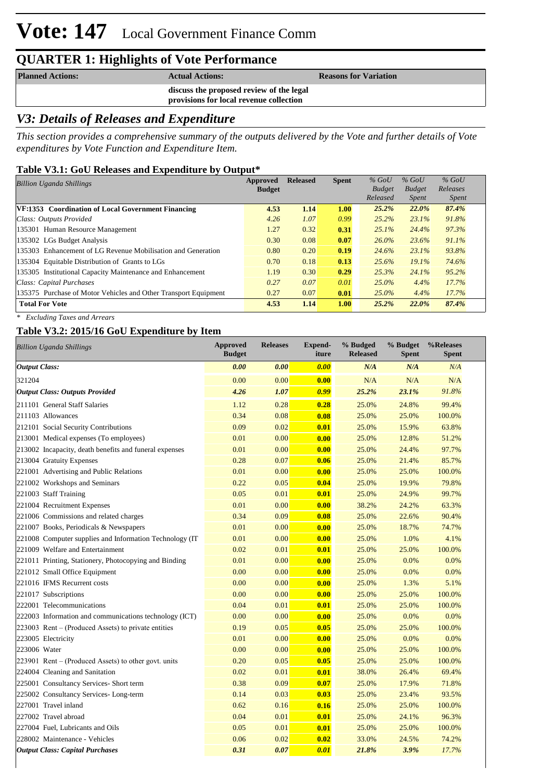# **Vote: 147** Local Government Finance Comm

# **QUARTER 1: Highlights of Vote Performance**

| <b>Planned Actions:</b> | <b>Actual Actions:</b>                                                              | <b>Reasons for Variation</b> |
|-------------------------|-------------------------------------------------------------------------------------|------------------------------|
|                         | discuss the proposed review of the legal<br>provisions for local revenue collection |                              |
|                         |                                                                                     |                              |

# *V3: Details of Releases and Expenditure*

*This section provides a comprehensive summary of the outputs delivered by the Vote and further details of Vote expenditures by Vote Function and Expenditure Item.*

### **Table V3.1: GoU Releases and Expenditure by Output\***

| <b>Billion Uganda Shillings</b>                                 | Approved<br><b>Budget</b> | <b>Released</b> | <b>Spent</b> | $%$ GoU<br><b>Budget</b><br>Released | $%$ GoU<br><b>Budget</b><br><i>Spent</i> | $%$ GoU<br>Releases<br><i>Spent</i> |
|-----------------------------------------------------------------|---------------------------|-----------------|--------------|--------------------------------------|------------------------------------------|-------------------------------------|
| VF:1353 Coordination of Local Government Financing              | 4.53                      | 1.14            | 1.00         | 25.2%                                | 22.0%                                    | 87.4%                               |
| Class: Outputs Provided                                         | 4.26                      | 1.07            | 0.99         | 25.2%                                | 23.1%                                    | 91.8%                               |
| 135301 Human Resource Management                                | 1.27                      | 0.32            | 0.31         | $25.1\%$                             | 24.4%                                    | 97.3%                               |
| 135302 LGs Budget Analysis                                      | 0.30                      | 0.08            | 0.07         | $26.0\%$                             | 23.6%                                    | 91.1%                               |
| 135303 Enhancement of LG Revenue Mobilisation and Generation    | 0.80                      | 0.20            | 0.19         | 24.6%                                | 23.1%                                    | 93.8%                               |
| 135304 Equitable Distribution of Grants to LGs                  | 0.70                      | 0.18            | 0.13         | 25.6%                                | $19.1\%$                                 | 74.6%                               |
| 135305 Institutional Capacity Maintenance and Enhancement       | 1.19                      | 0.30            | 0.29         | 25.3%                                | 24.1%                                    | 95.2%                               |
| Class: Capital Purchases                                        | 0.27                      | 0.07            | 0.01         | $25.0\%$                             | 4.4%                                     | 17.7%                               |
| 135375 Purchase of Motor Vehicles and Other Transport Equipment | 0.27                      | 0.07            | 0.01         | $25.0\%$                             | 4.4%                                     | 17.7%                               |
| <b>Total For Vote</b>                                           | 4.53                      | 1.14            | 1.00         | 25.2%                                | 22.0%                                    | 87.4%                               |

*\* Excluding Taxes and Arrears*

### **Table V3.2: 2015/16 GoU Expenditure by Item**

| <b>Billion Uganda Shillings</b>                          | <b>Approved</b><br><b>Budget</b> | <b>Releases</b> | <b>Expend-</b><br>iture | % Budged<br><b>Released</b> | % Budget<br><b>Spent</b> | %Releases<br><b>Spent</b> |
|----------------------------------------------------------|----------------------------------|-----------------|-------------------------|-----------------------------|--------------------------|---------------------------|
| <b>Output Class:</b>                                     | 0.00                             | 0.00            | 0.00                    | N/A                         | N/A                      | N/A                       |
| 321204                                                   | 0.00                             | 0.00            | 0.00                    | N/A                         | N/A                      | N/A                       |
| <b>Output Class: Outputs Provided</b>                    | 4.26                             | 1.07            | 0.99                    | 25.2%                       | 23.1%                    | 91.8%                     |
| 211101 General Staff Salaries                            | 1.12                             | 0.28            | 0.28                    | 25.0%                       | 24.8%                    | 99.4%                     |
| 211103 Allowances                                        | 0.34                             | 0.08            | 0.08                    | 25.0%                       | 25.0%                    | 100.0%                    |
| 212101 Social Security Contributions                     | 0.09                             | 0.02            | 0.01                    | 25.0%                       | 15.9%                    | 63.8%                     |
| 213001 Medical expenses (To employees)                   | 0.01                             | 0.00            | 0.00                    | 25.0%                       | 12.8%                    | 51.2%                     |
| 213002 Incapacity, death benefits and funeral expenses   | 0.01                             | 0.00            | 0.00                    | 25.0%                       | 24.4%                    | 97.7%                     |
| 213004 Gratuity Expenses                                 | 0.28                             | 0.07            | 0.06                    | 25.0%                       | 21.4%                    | 85.7%                     |
| 221001 Advertising and Public Relations                  | 0.01                             | 0.00            | 0.00                    | 25.0%                       | 25.0%                    | 100.0%                    |
| 221002 Workshops and Seminars                            | 0.22                             | 0.05            | 0.04                    | 25.0%                       | 19.9%                    | 79.8%                     |
| 221003 Staff Training                                    | 0.05                             | 0.01            | 0.01                    | 25.0%                       | 24.9%                    | 99.7%                     |
| 221004 Recruitment Expenses                              | 0.01                             | 0.00            | 0.00                    | 38.2%                       | 24.2%                    | 63.3%                     |
| 221006 Commissions and related charges                   | 0.34                             | 0.09            | 0.08                    | 25.0%                       | 22.6%                    | 90.4%                     |
| 221007 Books, Periodicals & Newspapers                   | 0.01                             | 0.00            | 0.00                    | 25.0%                       | 18.7%                    | 74.7%                     |
| 221008 Computer supplies and Information Technology (IT) | 0.01                             | 0.00            | 0.00                    | 25.0%                       | 1.0%                     | 4.1%                      |
| 221009 Welfare and Entertainment                         | 0.02                             | 0.01            | 0.01                    | 25.0%                       | 25.0%                    | 100.0%                    |
| 221011 Printing, Stationery, Photocopying and Binding    | 0.01                             | 0.00            | 0.00                    | 25.0%                       | 0.0%                     | 0.0%                      |
| 221012 Small Office Equipment                            | 0.00                             | 0.00            | 0.00                    | 25.0%                       | 0.0%                     | 0.0%                      |
| 221016 IFMS Recurrent costs                              | 0.00                             | 0.00            | 0.00                    | 25.0%                       | 1.3%                     | 5.1%                      |
| 221017 Subscriptions                                     | 0.00                             | 0.00            | 0.00                    | 25.0%                       | 25.0%                    | 100.0%                    |
| 222001 Telecommunications                                | 0.04                             | 0.01            | 0.01                    | 25.0%                       | 25.0%                    | 100.0%                    |
| 222003 Information and communications technology (ICT)   | 0.00                             | 0.00            | 0.00                    | 25.0%                       | 0.0%                     | 0.0%                      |
| 223003 Rent – (Produced Assets) to private entities      | 0.19                             | 0.05            | 0.05                    | 25.0%                       | 25.0%                    | 100.0%                    |
| 223005 Electricity                                       | 0.01                             | 0.00            | 0.00                    | 25.0%                       | 0.0%                     | 0.0%                      |
| 223006 Water                                             | 0.00                             | 0.00            | 0.00                    | 25.0%                       | 25.0%                    | 100.0%                    |
| $223901$ Rent – (Produced Assets) to other govt. units   | 0.20                             | 0.05            | 0.05                    | 25.0%                       | 25.0%                    | 100.0%                    |
| 224004 Cleaning and Sanitation                           | 0.02                             | 0.01            | 0.01                    | 38.0%                       | 26.4%                    | 69.4%                     |
| 225001 Consultancy Services- Short term                  | 0.38                             | 0.09            | 0.07                    | 25.0%                       | 17.9%                    | 71.8%                     |
| 225002 Consultancy Services-Long-term                    | 0.14                             | 0.03            | 0.03                    | 25.0%                       | 23.4%                    | 93.5%                     |
| 227001 Travel inland                                     | 0.62                             | 0.16            | 0.16                    | 25.0%                       | 25.0%                    | 100.0%                    |
| 227002 Travel abroad                                     | 0.04                             | 0.01            | 0.01                    | 25.0%                       | 24.1%                    | 96.3%                     |
| 227004 Fuel, Lubricants and Oils                         | 0.05                             | 0.01            | 0.01                    | 25.0%                       | 25.0%                    | 100.0%                    |
| 228002 Maintenance - Vehicles                            | 0.06                             | 0.02            | 0.02                    | 33.0%                       | 24.5%                    | 74.2%                     |
| <b>Output Class: Capital Purchases</b>                   | 0.31                             | 0.07            | 0.01                    | 21.8%                       | 3.9%                     | 17.7%                     |